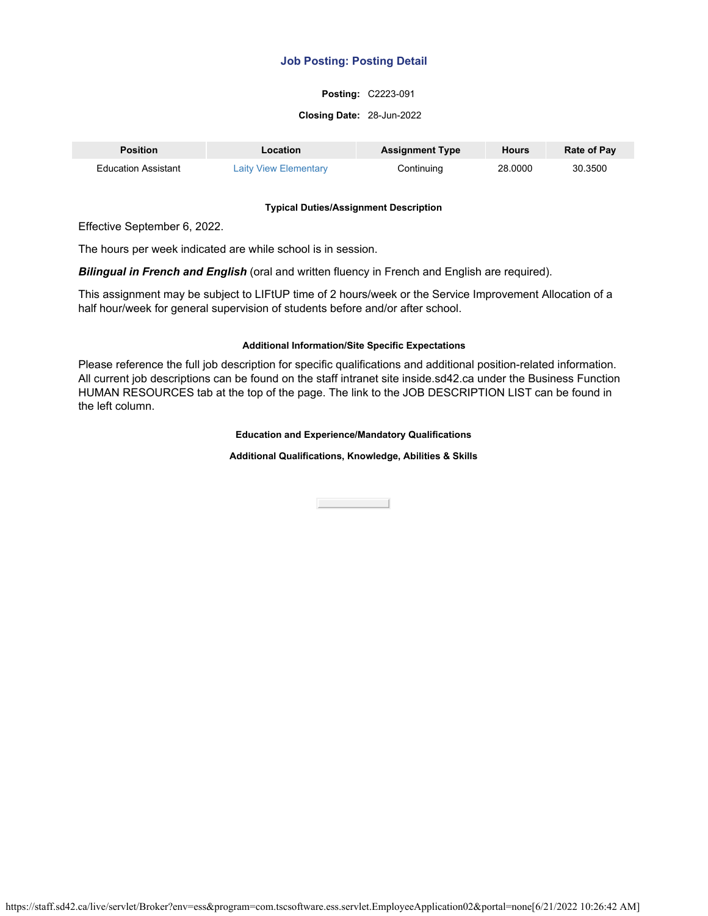# **Posting:** C2223-091

#### **Closing Date:** 28-Jun-2022

| <b>Position</b>            | Location                     | <b>Assignment Type</b> | <b>Hours</b> | <b>Rate of Pay</b> |
|----------------------------|------------------------------|------------------------|--------------|--------------------|
| <b>Education Assistant</b> | <b>Laity View Elementary</b> | Continuing             | 28.0000      | 30.3500            |

### **Typical Duties/Assignment Description**

Effective September 6, 2022.

The hours per week indicated are while school is in session.

*Bilingual in French and English* (oral and written fluency in French and English are required).

This assignment may be subject to LIFtUP time of 2 hours/week or the Service Improvement Allocation of a half hour/week for general supervision of students before and/or after school.

# **Additional Information/Site Specific Expectations**

Please reference the full job description for specific qualifications and additional position-related information. All current job descriptions can be found on the staff intranet site inside.sd42.ca under the Business Function HUMAN RESOURCES tab at the top of the page. The link to the JOB DESCRIPTION LIST can be found in the left column.

## **Education and Experience/Mandatory Qualifications**

## **Additional Qualifications, Knowledge, Abilities & Skills**

**Close Contract Contract**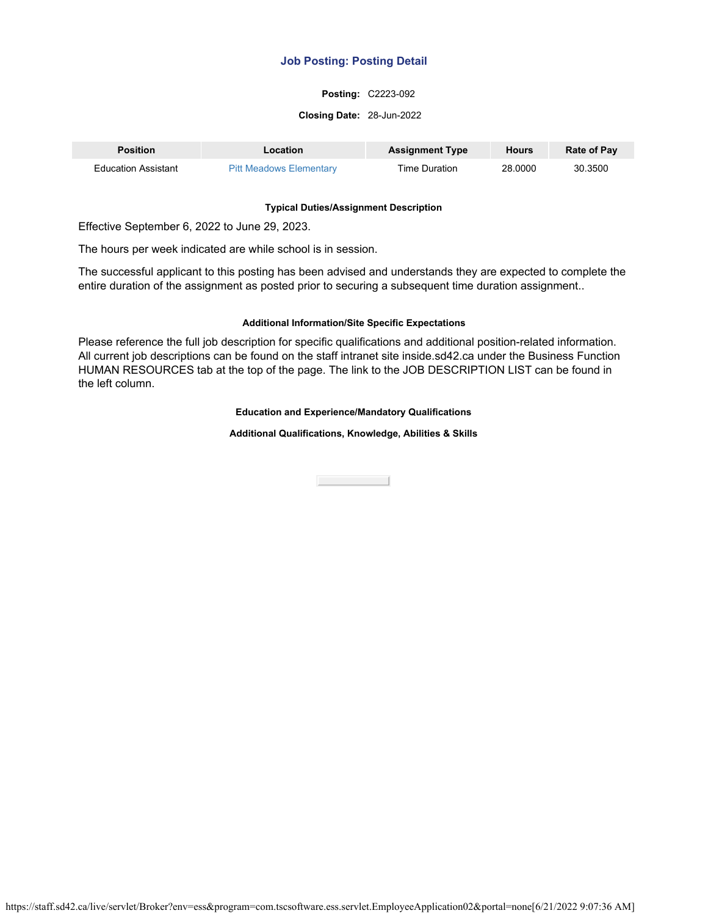# **Posting:** C2223-092

#### **Closing Date:** 28-Jun-2022

| Position                   | Location                       | <b>Assignment Type</b> | <b>Hours</b> | <b>Rate of Pay</b> |
|----------------------------|--------------------------------|------------------------|--------------|--------------------|
| <b>Education Assistant</b> | <b>Pitt Meadows Elementary</b> | Time Duration          | 28,0000      | 30.3500            |

### **Typical Duties/Assignment Description**

Effective September 6, 2022 to June 29, 2023.

The hours per week indicated are while school is in session.

The successful applicant to this posting has been advised and understands they are expected to complete the entire duration of the assignment as posted prior to securing a subsequent time duration assignment..

## **Additional Information/Site Specific Expectations**

Please reference the full job description for specific qualifications and additional position-related information. All current job descriptions can be found on the staff intranet site inside.sd42.ca under the Business Function HUMAN RESOURCES tab at the top of the page. The link to the JOB DESCRIPTION LIST can be found in the left column.

## **Education and Experience/Mandatory Qualifications**

**Additional Qualifications, Knowledge, Abilities & Skills**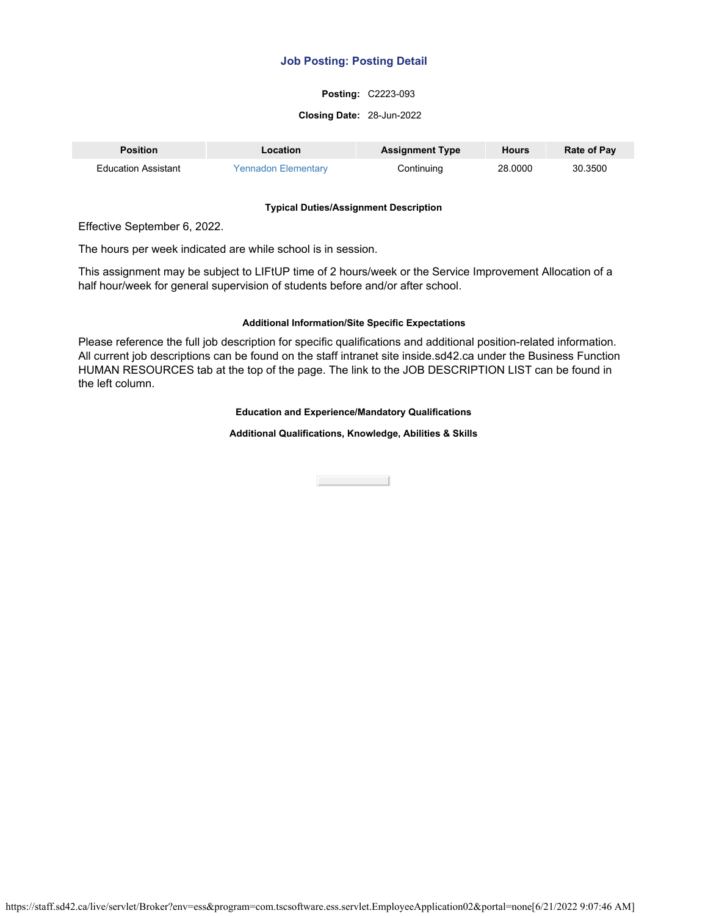# **Posting:** C2223-093

#### **Closing Date:** 28-Jun-2022

| <b>Position</b>            | Location                   | <b>Assignment Type</b> | Hours   | <b>Rate of Pay</b> |
|----------------------------|----------------------------|------------------------|---------|--------------------|
| <b>Education Assistant</b> | <b>Yennadon Elementary</b> | Continuing             | 28,0000 | 30.3500            |

### **Typical Duties/Assignment Description**

Effective September 6, 2022.

The hours per week indicated are while school is in session.

This assignment may be subject to LIFtUP time of 2 hours/week or the Service Improvement Allocation of a half hour/week for general supervision of students before and/or after school.

# **Additional Information/Site Specific Expectations**

Please reference the full job description for specific qualifications and additional position-related information. All current job descriptions can be found on the staff intranet site inside.sd42.ca under the Business Function HUMAN RESOURCES tab at the top of the page. The link to the JOB DESCRIPTION LIST can be found in the left column.

## **Education and Experience/Mandatory Qualifications**

**Additional Qualifications, Knowledge, Abilities & Skills**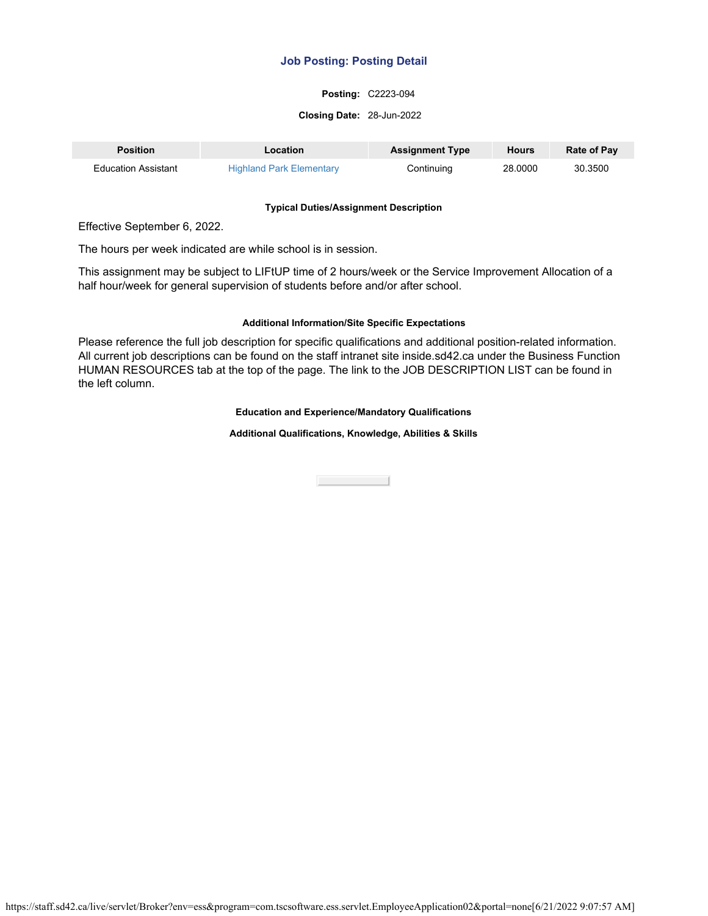# **Posting:** C2223-094

#### **Closing Date:** 28-Jun-2022

| <b>Position</b>            | Location                        | <b>Assignment Type</b> | Hours   | <b>Rate of Pay</b> |
|----------------------------|---------------------------------|------------------------|---------|--------------------|
| <b>Education Assistant</b> | <b>Highland Park Elementary</b> | Continuing             | 28.0000 | 30.3500            |

#### **Typical Duties/Assignment Description**

Effective September 6, 2022.

The hours per week indicated are while school is in session.

This assignment may be subject to LIFtUP time of 2 hours/week or the Service Improvement Allocation of a half hour/week for general supervision of students before and/or after school.

# **Additional Information/Site Specific Expectations**

Please reference the full job description for specific qualifications and additional position-related information. All current job descriptions can be found on the staff intranet site inside.sd42.ca under the Business Function HUMAN RESOURCES tab at the top of the page. The link to the JOB DESCRIPTION LIST can be found in the left column.

## **Education and Experience/Mandatory Qualifications**

**Additional Qualifications, Knowledge, Abilities & Skills**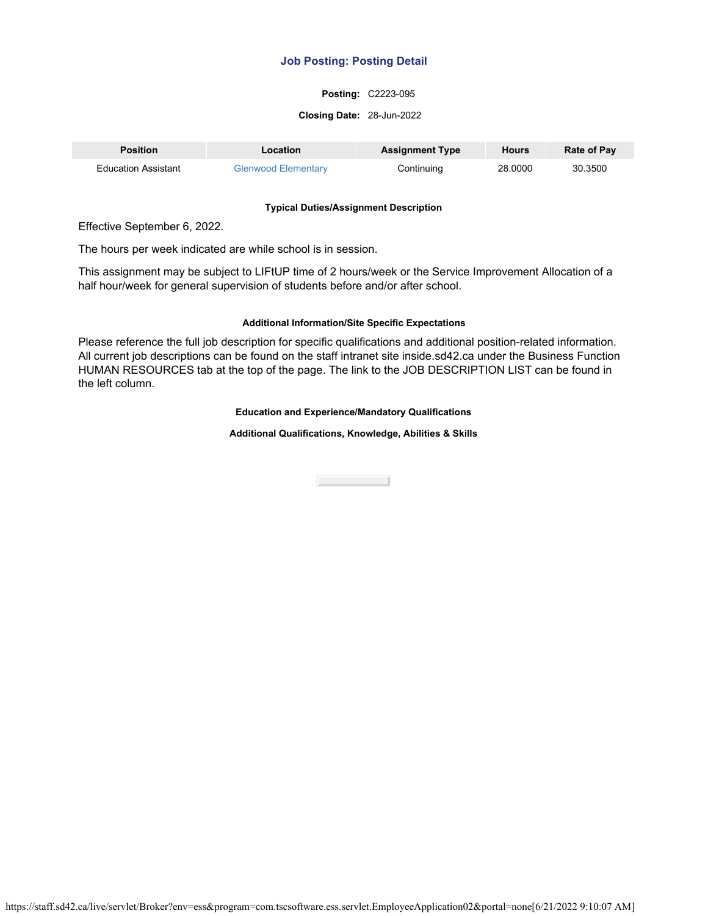# **Posting:** C2223-095

#### **Closing Date:** 28-Jun-2022

| <b>Position</b>            | Location                   | <b>Assignment Type</b> | <b>Hours</b> | Rate of Pay |
|----------------------------|----------------------------|------------------------|--------------|-------------|
| <b>Education Assistant</b> | <b>Glenwood Elementary</b> | Continuing             | 28,0000      | 30.3500     |

#### **Typical Duties/Assignment Description**

Effective September 6, 2022.

The hours per week indicated are while school is in session.

This assignment may be subject to LIFtUP time of 2 hours/week or the Service Improvement Allocation of a half hour/week for general supervision of students before and/or after school.

# **Additional Information/Site Specific Expectations**

Please reference the full job description for specific qualifications and additional position-related information. All current job descriptions can be found on the staff intranet site inside.sd42.ca under the Business Function HUMAN RESOURCES tab at the top of the page. The link to the JOB DESCRIPTION LIST can be found in the left column.

## **Education and Experience/Mandatory Qualifications**

**Additional Qualifications, Knowledge, Abilities & Skills**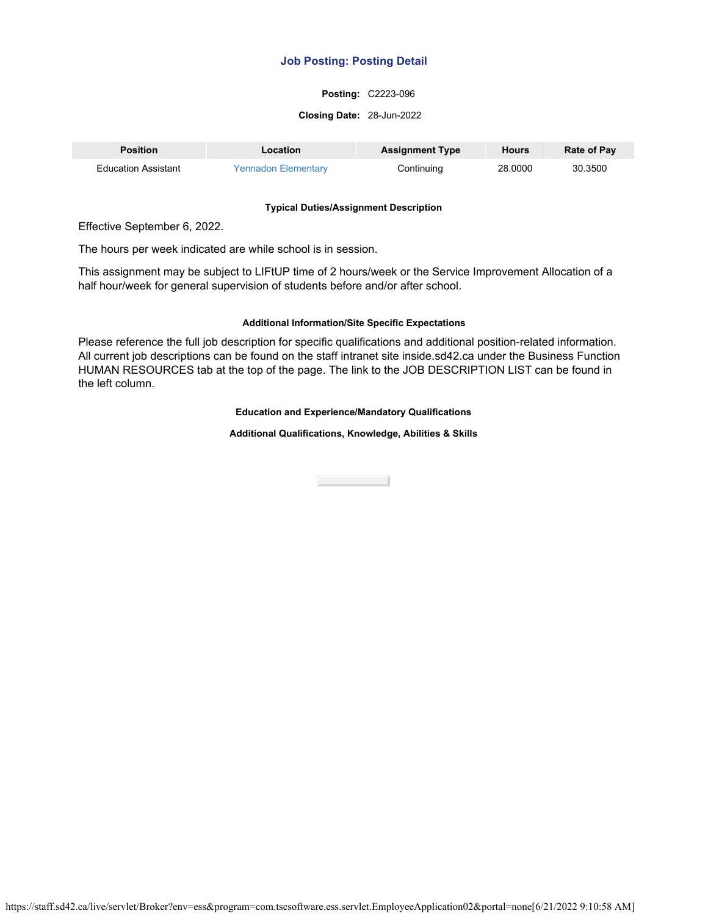# **Posting:** C2223-096

#### **Closing Date:** 28-Jun-2022

| <b>Position</b>            | Location                   | <b>Assignment Type</b> | Hours   | <b>Rate of Pay</b> |
|----------------------------|----------------------------|------------------------|---------|--------------------|
| <b>Education Assistant</b> | <b>Yennadon Elementary</b> | Continuing             | 28,0000 | 30.3500            |

### **Typical Duties/Assignment Description**

Effective September 6, 2022.

The hours per week indicated are while school is in session.

This assignment may be subject to LIFtUP time of 2 hours/week or the Service Improvement Allocation of a half hour/week for general supervision of students before and/or after school.

# **Additional Information/Site Specific Expectations**

Please reference the full job description for specific qualifications and additional position-related information. All current job descriptions can be found on the staff intranet site inside.sd42.ca under the Business Function HUMAN RESOURCES tab at the top of the page. The link to the JOB DESCRIPTION LIST can be found in the left column.

## **Education and Experience/Mandatory Qualifications**

**Additional Qualifications, Knowledge, Abilities & Skills**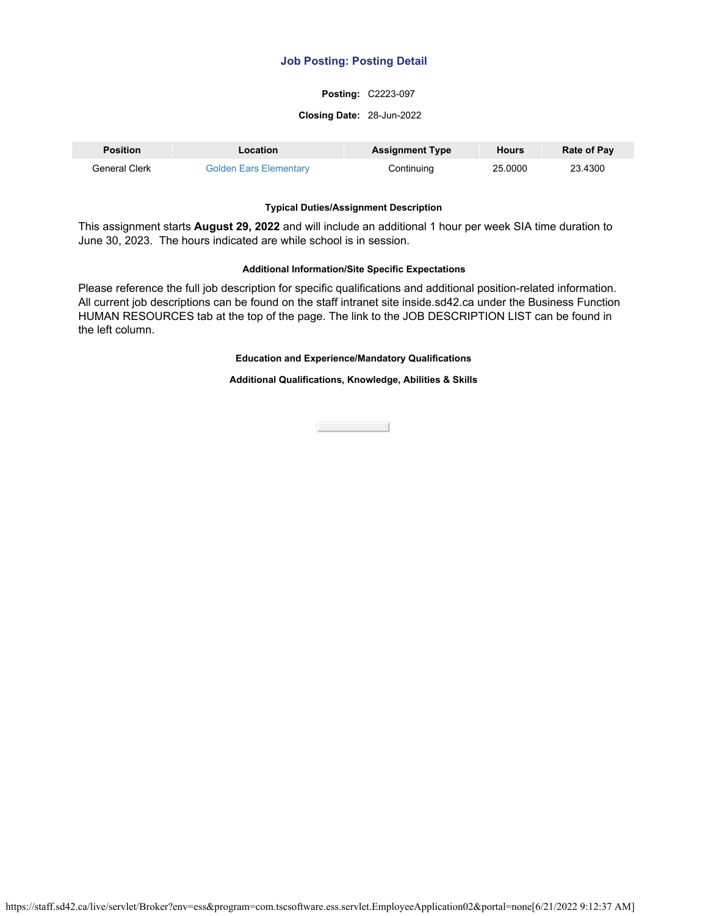# **Posting:** C2223-097

#### **Closing Date:** 28-Jun-2022

| <b>Position</b> | Location                      | <b>Assignment Type</b> | <b>Hours</b> | <b>Rate of Pay</b> |
|-----------------|-------------------------------|------------------------|--------------|--------------------|
| General Clerk   | <b>Golden Ears Elementary</b> | Continuing             | 25,0000      | 23.4300            |

## **Typical Duties/Assignment Description**

This assignment starts **August 29, 2022** and will include an additional 1 hour per week SIA time duration to June 30, 2023. The hours indicated are while school is in session.

#### **Additional Information/Site Specific Expectations**

Please reference the full job description for specific qualifications and additional position-related information. All current job descriptions can be found on the staff intranet site inside.sd42.ca under the Business Function HUMAN RESOURCES tab at the top of the page. The link to the JOB DESCRIPTION LIST can be found in the left column.

# **Education and Experience/Mandatory Qualifications**

## **Additional Qualifications, Knowledge, Abilities & Skills**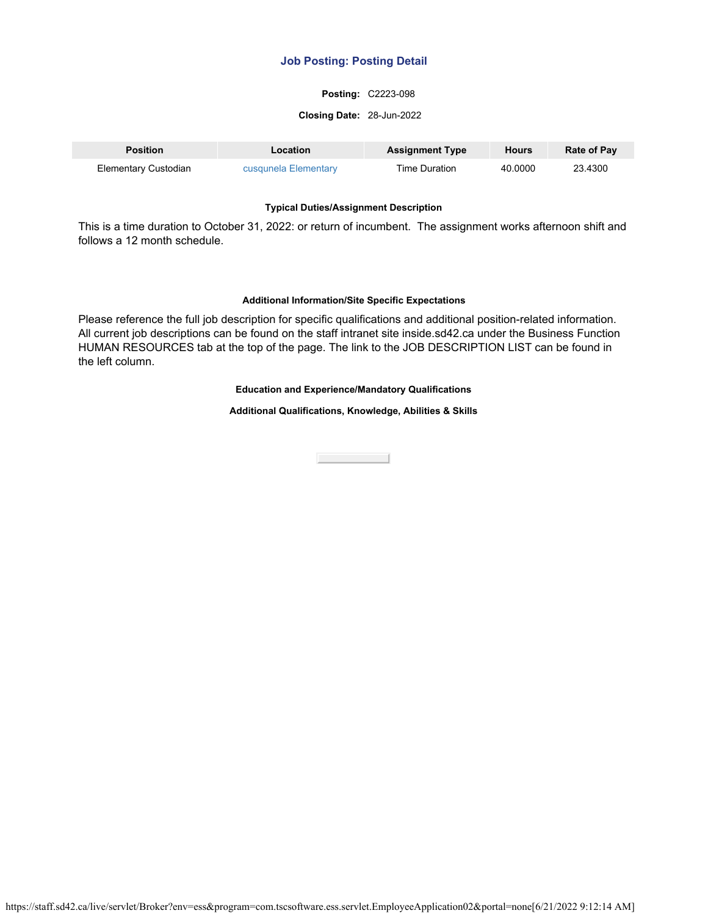# **Posting:** C2223-098

### **Closing Date:** 28-Jun-2022

| <b>Position</b>      | Location             | <b>Assignment Type</b> | <b>Hours</b> | <b>Rate of Pay</b> |
|----------------------|----------------------|------------------------|--------------|--------------------|
| Elementary Custodian | cusqunela Elementary | Time Duration          | 40.0000      | 23.4300            |

### **Typical Duties/Assignment Description**

This is a time duration to October 31, 2022: or return of incumbent. The assignment works afternoon shift and follows a 12 month schedule.

# **Additional Information/Site Specific Expectations**

Please reference the full job description for specific qualifications and additional position-related information. All current job descriptions can be found on the staff intranet site inside.sd42.ca under the Business Function HUMAN RESOURCES tab at the top of the page. The link to the JOB DESCRIPTION LIST can be found in the left column.

#### **Education and Experience/Mandatory Qualifications**

**Additional Qualifications, Knowledge, Abilities & Skills**

Close the Close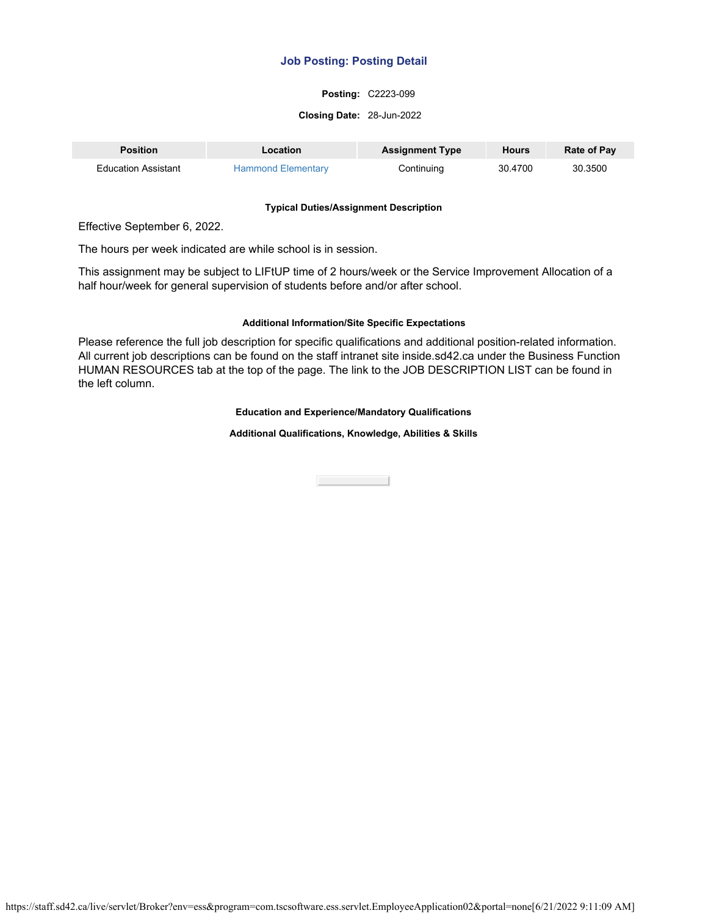# **Posting:** C2223-099

#### **Closing Date:** 28-Jun-2022

| <b>Position</b>     | Location                  | <b>Assignment Type</b> | Hours   | <b>Rate of Pay</b> |
|---------------------|---------------------------|------------------------|---------|--------------------|
| Education Assistant | <b>Hammond Elementary</b> | Continuing             | 30.4700 | 30.3500            |

### **Typical Duties/Assignment Description**

Effective September 6, 2022.

The hours per week indicated are while school is in session.

This assignment may be subject to LIFtUP time of 2 hours/week or the Service Improvement Allocation of a half hour/week for general supervision of students before and/or after school.

# **Additional Information/Site Specific Expectations**

Please reference the full job description for specific qualifications and additional position-related information. All current job descriptions can be found on the staff intranet site inside.sd42.ca under the Business Function HUMAN RESOURCES tab at the top of the page. The link to the JOB DESCRIPTION LIST can be found in the left column.

## **Education and Experience/Mandatory Qualifications**

**Additional Qualifications, Knowledge, Abilities & Skills**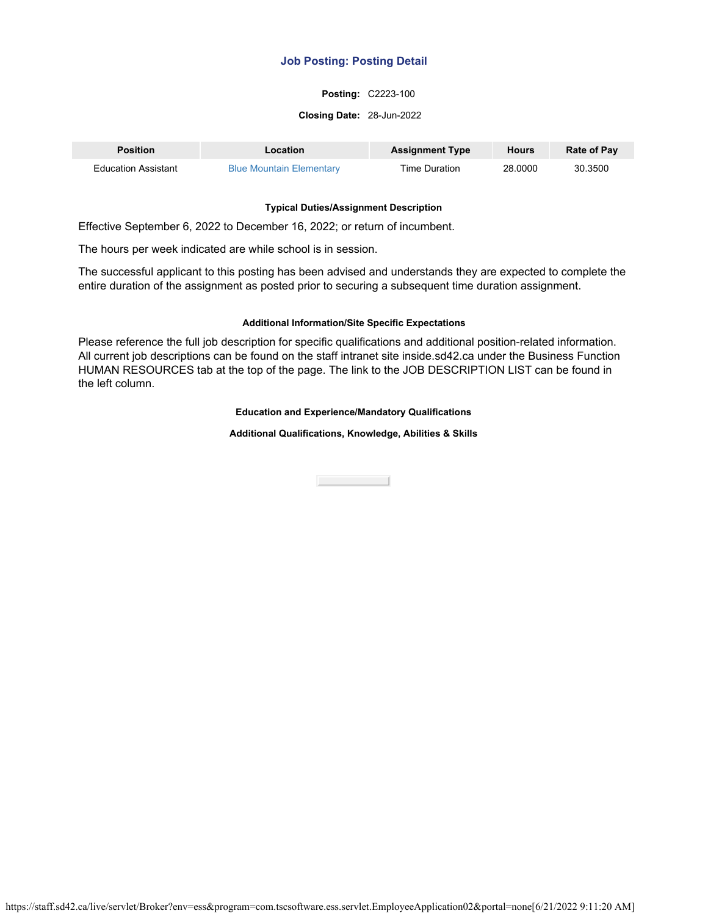# **Posting:** C2223-100

#### **Closing Date:** 28-Jun-2022

| <b>Position</b>            | Location                        | <b>Assignment Type</b> | Hours   | <b>Rate of Pay</b> |
|----------------------------|---------------------------------|------------------------|---------|--------------------|
| <b>Education Assistant</b> | <b>Blue Mountain Elementary</b> | Time Duration          | 28,0000 | 30.3500            |

## **Typical Duties/Assignment Description**

Effective September 6, 2022 to December 16, 2022; or return of incumbent.

The hours per week indicated are while school is in session.

The successful applicant to this posting has been advised and understands they are expected to complete the entire duration of the assignment as posted prior to securing a subsequent time duration assignment.

## **Additional Information/Site Specific Expectations**

Please reference the full job description for specific qualifications and additional position-related information. All current job descriptions can be found on the staff intranet site inside.sd42.ca under the Business Function HUMAN RESOURCES tab at the top of the page. The link to the JOB DESCRIPTION LIST can be found in the left column.

## **Education and Experience/Mandatory Qualifications**

**Additional Qualifications, Knowledge, Abilities & Skills**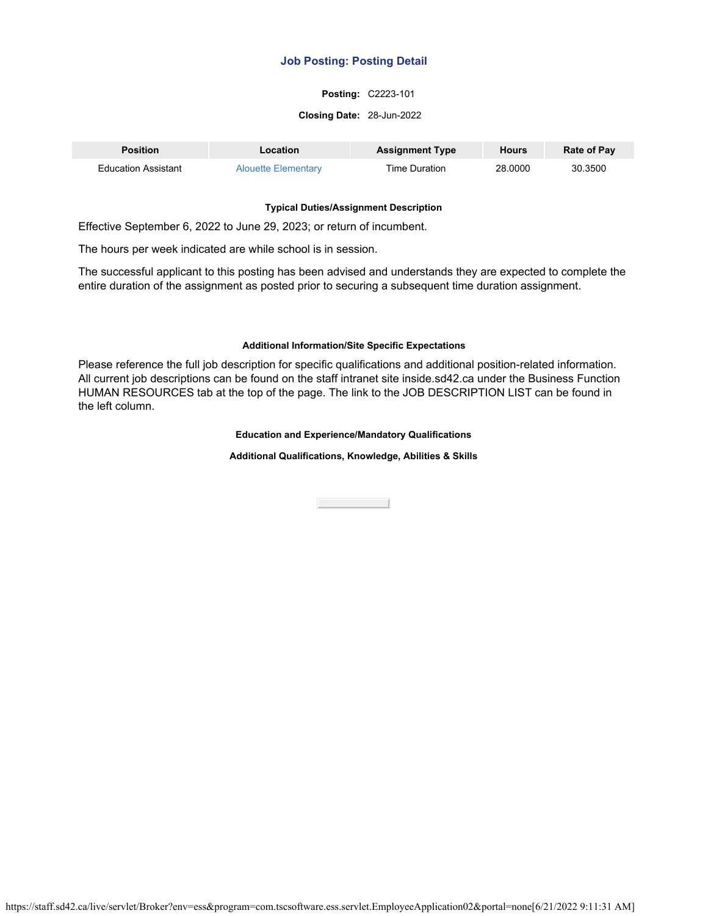## **Posting:** C2223-101

#### **Closing Date:** 28-Jun-2022

| <b>Position</b>            | Location            | <b>Assignment Type</b> | Hours   | <b>Rate of Pay</b> |
|----------------------------|---------------------|------------------------|---------|--------------------|
| <b>Education Assistant</b> | Alouette Elementary | Time Duration.         | 28,0000 | 30.3500            |

## **Typical Duties/Assignment Description**

Effective September 6, 2022 to June 29, 2023; or return of incumbent.

The hours per week indicated are while school is in session.

The successful applicant to this posting has been advised and understands they are expected to complete the entire duration of the assignment as posted prior to securing a subsequent time duration assignment.

## **Additional Information/Site Specific Expectations**

Please reference the full job description for specific qualifications and additional position-related information. All current job descriptions can be found on the staff intranet site inside.sd42.ca under the Business Function HUMAN RESOURCES tab at the top of the page. The link to the JOB DESCRIPTION LIST can be found in the left column.

## **Education and Experience/Mandatory Qualifications**

## **Additional Qualifications, Knowledge, Abilities & Skills**

**Close Contract Contract**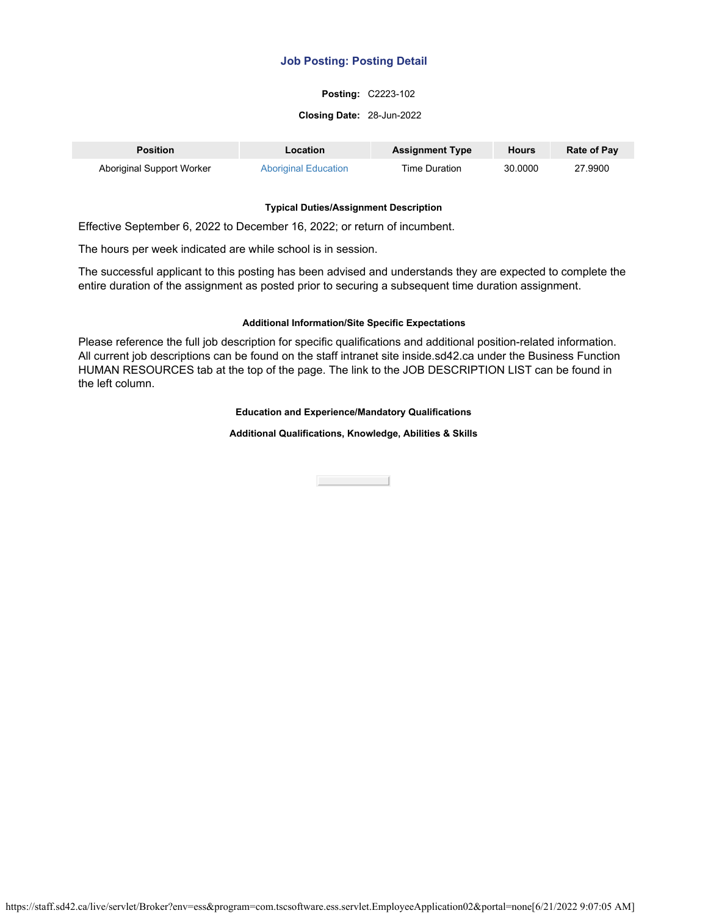# **Posting:** C2223-102

#### **Closing Date:** 28-Jun-2022

| <b>Position</b>           | Location                    | <b>Assignment Type</b> | Hours   | <b>Rate of Pay</b> |
|---------------------------|-----------------------------|------------------------|---------|--------------------|
| Aboriginal Support Worker | <b>Aboriginal Education</b> | Time Duration          | 30.0000 | 27.9900            |

## **Typical Duties/Assignment Description**

Effective September 6, 2022 to December 16, 2022; or return of incumbent.

The hours per week indicated are while school is in session.

The successful applicant to this posting has been advised and understands they are expected to complete the entire duration of the assignment as posted prior to securing a subsequent time duration assignment.

## **Additional Information/Site Specific Expectations**

Please reference the full job description for specific qualifications and additional position-related information. All current job descriptions can be found on the staff intranet site inside.sd42.ca under the Business Function HUMAN RESOURCES tab at the top of the page. The link to the JOB DESCRIPTION LIST can be found in the left column.

## **Education and Experience/Mandatory Qualifications**

**Additional Qualifications, Knowledge, Abilities & Skills**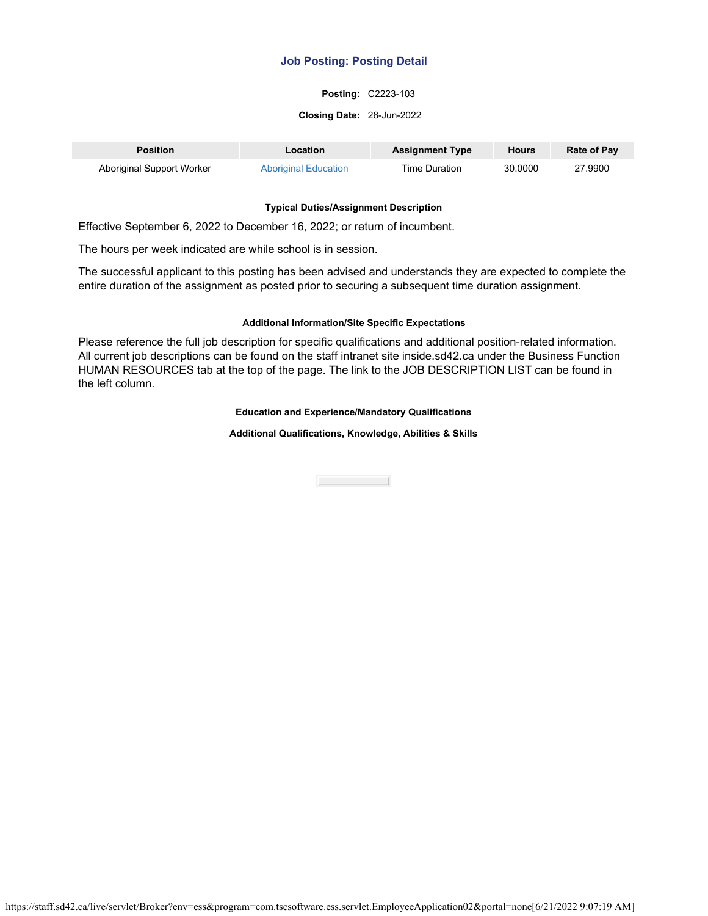# **Posting:** C2223-103

#### **Closing Date:** 28-Jun-2022

| <b>Position</b>           | Location                    | <b>Assignment Type</b> | Hours   | <b>Rate of Pay</b> |
|---------------------------|-----------------------------|------------------------|---------|--------------------|
| Aboriginal Support Worker | <b>Aboriginal Education</b> | Time Duration          | 30.0000 | 27.9900            |

## **Typical Duties/Assignment Description**

Effective September 6, 2022 to December 16, 2022; or return of incumbent.

The hours per week indicated are while school is in session.

The successful applicant to this posting has been advised and understands they are expected to complete the entire duration of the assignment as posted prior to securing a subsequent time duration assignment.

## **Additional Information/Site Specific Expectations**

Please reference the full job description for specific qualifications and additional position-related information. All current job descriptions can be found on the staff intranet site inside.sd42.ca under the Business Function HUMAN RESOURCES tab at the top of the page. The link to the JOB DESCRIPTION LIST can be found in the left column.

## **Education and Experience/Mandatory Qualifications**

**Additional Qualifications, Knowledge, Abilities & Skills**